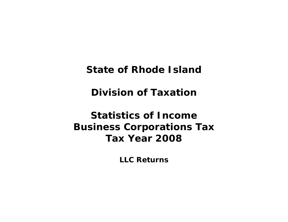**State of Rhode Island** 

**Division of Taxation** 

**Statistics of Income Business Corporations Tax Tax Year 2008** 

**LLC Returns**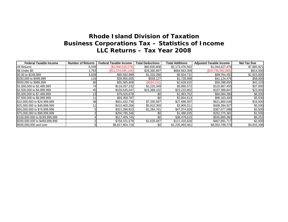| <b>Federal Taxable Income</b>  | <b>Number of Returns</b> | <b>Federal Taxable Income</b> | <b>Total Deductions</b> | <b>Total Additions</b> | <b>Adjusted Taxable Income</b> | <b>Net Tax Due</b> |
|--------------------------------|--------------------------|-------------------------------|-------------------------|------------------------|--------------------------------|--------------------|
| All Returns                    | 6,039                    | (S1,068,018,276)              | \$60,830,808            | \$2,173,476,562        | \$1,044,627,478                | \$7,860,921        |
| \$\$ Under \$0                 | 1,793                    | (\$11,374,595,144)            | \$26,360,897            | \$664,563,358          | (\$10,736,392,683)             | \$914,000          |
| \$0.00 to \$249,999            | 3,839                    | \$85,592,999                  | \$1,333,280             | \$5,504,731            | \$89,764,450                   | \$1,923,600        |
| \$250,000 to \$499,999         | <b>116</b>               | \$39,955,005                  | \$559,127               | \$1,728,598            | \$41,124,476                   | \$58,000           |
| \$500,000 to \$999,999         | 80                       | \$55,585,808                  | (\$184, 132)            | \$2,628,915            | \$58,398,855                   | \$42,233           |
| \$1,000,000 to \$2,499,999     | 74                       | \$116,297,232                 | \$1,220,349             | \$5,890,572            | \$120,967,455                  | \$37,000           |
| \$2,500,000 to \$4,999,999     | 45                       | \$159,545,047                 | \$15,389,102            | \$23,233,902           | \$167,389,847                  | \$23,000           |
| \$5,000,000 to \$7,499,999     | 13                       | \$79,020,678                  | \$0                     | \$1,063,702            | \$80,084,380                   | \$6,500            |
| \$7,500,000 to \$9,999,999     |                          | \$93,358,787                  | \$0                     | \$2,804,613            | \$96,163,400                   | \$5,500            |
| \$10,000,000 to \$24,999,999   | 38                       | \$601,432,736                 | \$7,330,587             | \$27,698,397           | \$621,800,546                  | \$19,000           |
| \$25,000,000 to \$49,999,999   |                          | \$410,400,266                 | \$5,910,350             | \$3,905,011            | \$408,394,927                  | \$5,500            |
| \$50,000,000 to \$74,999,999   |                          | \$321,286,923                 | \$1,284,761             | \$47,074,926           | \$367,077,088                  | \$2,500            |
| \$75,000,000 to \$99,999,999   |                          | \$250,785,346                 | \$0                     | \$1,490,035            | \$252,275,381                  | \$1,500            |
| \$100,000,000 to \$199,999,999 |                          | \$517,409,745                 | \$0                     | \$38,479,615           | \$555,889,360                  | \$6,252            |
| \$200,000,000 to \$499,999,999 |                          | \$758,101,578                 | \$1,626,487             | \$111,416,626          | \$867,891,717                  | \$1,000            |
| \$500,000,000 and over         |                          | \$6,817,804,718               | \$0                     | \$1,235,993,561        | \$8,053,798,279                | \$4,815,336        |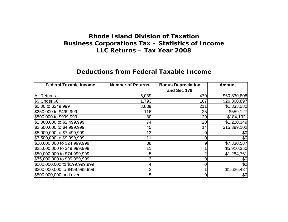#### **Deductions from Federal Taxable Income**

| <b>Federal Taxable Income</b>  | <b>Number of Returns</b> | <b>Bonus Depreciation</b> | <b>Amount</b> |
|--------------------------------|--------------------------|---------------------------|---------------|
|                                |                          | and Sec 179               |               |
| <b>All Returns</b>             | 6,039                    | 470                       | \$60,830,808  |
| \$\$ Under \$0                 | 1,793                    | 167                       | \$26,360,897  |
| \$0.00 to \$249,999            | 3,839                    | 211                       | \$1,333,280   |
| \$250,000 to \$499,999         | 116                      | 25                        | \$559,127     |
| \$500,000 to \$999,999         | 80                       | 20                        | \$184,132     |
| \$1,000,000 to \$2,499,999     | 74                       | 20                        | \$1,220,349   |
| \$2,500,000 to \$4,999,999     | 45                       | 14                        | \$15,389,102  |
| \$5,000,000 to \$7,499,999     | 13                       |                           | \$0           |
| \$7,500,000 to \$9,999,999     | 11                       | 0                         | \$0           |
| \$10,000,000 to \$24,999,999   | 38                       | 9                         | \$7,330,587   |
| \$25,000,000 to \$49,999,999   | 11                       |                           | \$5,910,350   |
| \$50,000,000 to \$74,999,999   | 5                        |                           | \$1,284,761   |
| \$75,000,000 to \$99,999,999   | 3                        |                           | \$0           |
| \$100,000,000 to \$199,999,999 |                          |                           | \$0           |
| \$200,000,000 to \$499,999,999 | 2                        |                           | \$1,626,487   |
| \$500,000,000 and over         | 5                        | 01                        | \$0           |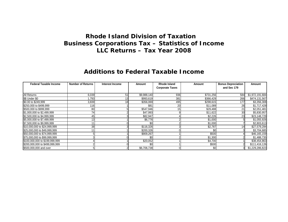#### **Additions to Federal Taxable Income**

| <b>Federal Taxable Income</b>  | <b>Number of Returns</b> | <b>Interest Income</b> | Amount      | <b>Rhode Island</b>    | Amount    | <b>Bonus Depreciation</b> | Amount          |
|--------------------------------|--------------------------|------------------------|-------------|------------------------|-----------|---------------------------|-----------------|
|                                |                          |                        |             | <b>Corporate Taxes</b> |           | and Sec 179               |                 |
|                                |                          |                        |             |                        |           |                           |                 |
| <b>All Returns</b>             | 6,039                    | 51                     | \$9,988,140 | 936                    | \$731,256 | 584                       | \$1,972,191,684 |
| \$\$ Under \$0                 | 1,793                    |                        | \$993,619   | 381                    | \$366,429 | 266                       | \$474,131,567   |
| \$0.00 to \$249,999            | 3,839                    | 18 <sub>l</sub>        | \$356,069   | 495                    | \$298,615 | 177                       | \$3,356,308     |
| \$250,000 to \$499,999         | 116                      |                        | \$81        | 20                     | \$11,089  | 26                        | \$1,717,428     |
| \$500,000 to \$999,999         | 80                       |                        | \$547,946   | 15                     | \$29,488  | 21                        | \$2,051,481     |
| \$1,000,000 to \$2,499,999     | 74                       |                        | \$47,993    |                        | \$11,622  | 30                        | \$5,830,957     |
| \$2,500,000 to \$4,999,999     | 45                       |                        | \$82,947    |                        | \$2,226   | 23                        | \$23,148,729    |
| \$5,000,000 to \$7,499,999     | 13                       |                        | \$6,776     |                        | \$1,000   |                           | \$1,055,926     |
| \$7,500,000 to \$9,999,999     | 11                       |                        | \$0         |                        | \$1,000   |                           | \$2,803,613     |
| \$10,000,000 to \$24,999,999   | 38                       |                        | \$116,326   |                        | \$2,787   | 141                       | \$27,579,284    |
| \$25,000,000 to \$49,999,999   |                          |                        | \$200,326   |                        | \$0       |                           | \$3,704,685     |
| \$50,000,000 to \$74,999,999   |                          |                        | \$909,267   |                        | \$500     |                           | \$46,165,159    |
| \$75,000,000 to \$99,999,999   |                          |                        |             |                        | \$1,300   |                           | \$1,488,735     |
| \$100,000,000 to \$199,999,999 |                          |                        | \$20,052    |                        | \$4,700   |                           | \$38,454,863    |
| \$200,000,000 to \$499,999,999 |                          |                        | \$0         |                        | \$500     |                           | \$111,416,126   |
| \$500,000,000 and over         |                          |                        | \$6,706,738 |                        | \$0       |                           | \$1,229,286,823 |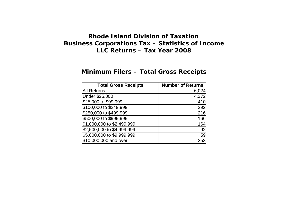## **Minimum Filers – Total Gross Receipts**

| <b>Total Gross Receipts</b> | <b>Number of Returns</b> |
|-----------------------------|--------------------------|
| <b>All Returns</b>          | 6,024                    |
| <b>Under \$25,000</b>       | 4,372                    |
| \$25,000 to \$99,999        | 410                      |
| \$100,000 to \$249,999      | 292                      |
| \$250,000 to \$499,999      | 216                      |
| \$500,000 to \$999,999      | 166                      |
| \$1,000,000 to \$2,499,999  | 164                      |
| \$2,500,000 to \$4,999,999  | 92                       |
| \$5,000,000 to \$9,999,999  | 59                       |
| \$10,000,000 and over       | 253                      |